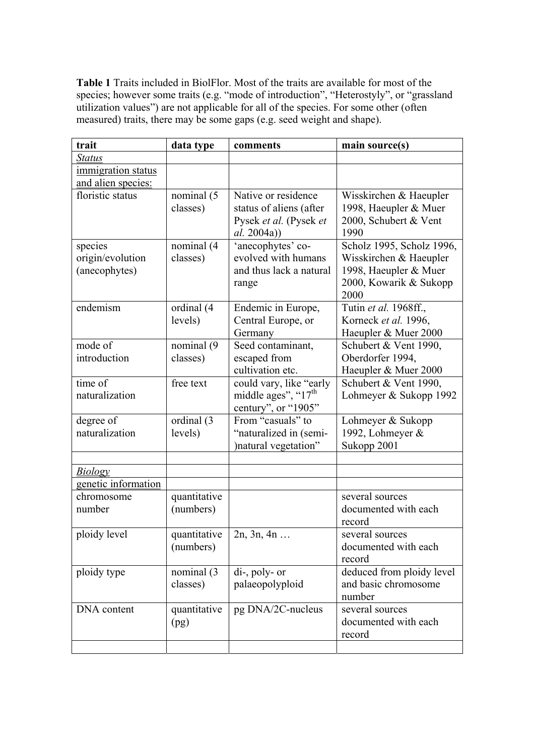**Table 1** Traits included in BiolFlor. Most of the traits are available for most of the species; however some traits (e.g. "mode of introduction", "Heterostyly", or "grassland utilization values") are not applicable for all of the species. For some other (often measured) traits, there may be some gaps (e.g. seed weight and shape).

| trait                                        | data type                 | comments                                                                                       | main source(s)                                                                                                 |
|----------------------------------------------|---------------------------|------------------------------------------------------------------------------------------------|----------------------------------------------------------------------------------------------------------------|
| <b>Status</b>                                |                           |                                                                                                |                                                                                                                |
| immigration status<br>and alien species:     |                           |                                                                                                |                                                                                                                |
| floristic status                             | nominal (5<br>classes)    | Native or residence<br>status of aliens (after<br>Pysek et al. (Pysek et<br><i>al.</i> 2004a)) | Wisskirchen & Haeupler<br>1998, Haeupler & Muer<br>2000, Schubert & Vent<br>1990                               |
| species<br>origin/evolution<br>(anecophytes) | nominal (4<br>classes)    | 'anecophytes' co-<br>evolved with humans<br>and thus lack a natural<br>range                   | Scholz 1995, Scholz 1996,<br>Wisskirchen & Haeupler<br>1998, Haeupler & Muer<br>2000, Kowarik & Sukopp<br>2000 |
| endemism                                     | ordinal (4<br>levels)     | Endemic in Europe,<br>Central Europe, or<br>Germany                                            | Tutin et al. 1968ff.,<br>Korneck et al. 1996,<br>Haeupler & Muer 2000                                          |
| mode of<br>introduction                      | nominal (9<br>classes)    | Seed contaminant,<br>escaped from<br>cultivation etc.                                          | Schubert & Vent 1990,<br>Oberdorfer 1994,<br>Haeupler & Muer 2000                                              |
| time of<br>naturalization                    | free text                 | could vary, like "early<br>middle ages", " $17th$<br>century", or "1905"                       | Schubert & Vent 1990,<br>Lohmeyer & Sukopp 1992                                                                |
| degree of<br>naturalization                  | ordinal (3<br>levels)     | From "casuals" to<br>"naturalized in (semi-<br>)natural vegetation"                            | Lohmeyer & Sukopp<br>1992, Lohmeyer &<br>Sukopp 2001                                                           |
|                                              |                           |                                                                                                |                                                                                                                |
| <b>Biology</b>                               |                           |                                                                                                |                                                                                                                |
| genetic information                          |                           |                                                                                                |                                                                                                                |
| chromosome<br>number                         | quantitative<br>(numbers) |                                                                                                | several sources<br>documented with each<br>record                                                              |
| ploidy level                                 | quantitative<br>(numbers) | 2n, 3n, 4n                                                                                     | several sources<br>documented with each<br>record                                                              |
| ploidy type                                  | nominal (3)<br>classes)   | di-, poly- or<br>palaeopolyploid                                                               | deduced from ploidy level<br>and basic chromosome<br>number                                                    |
| DNA content                                  | quantitative<br>(pg)      | pg DNA/2C-nucleus                                                                              | several sources<br>documented with each<br>record                                                              |
|                                              |                           |                                                                                                |                                                                                                                |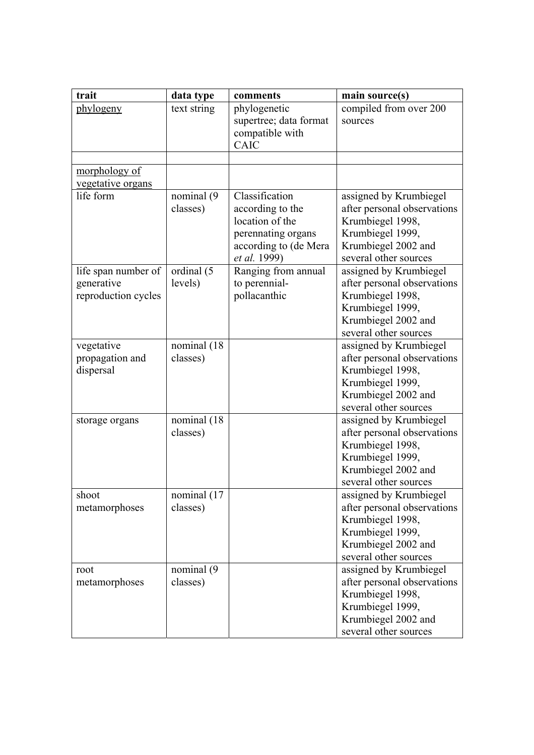| trait                                                    | data type                | comments                                                                                           | main source(s)                                                                                                                                |
|----------------------------------------------------------|--------------------------|----------------------------------------------------------------------------------------------------|-----------------------------------------------------------------------------------------------------------------------------------------------|
| phylogeny                                                | text string              | phylogenetic<br>supertree; data format<br>compatible with<br>CAIC                                  | compiled from over 200<br>sources                                                                                                             |
|                                                          |                          |                                                                                                    |                                                                                                                                               |
| morphology of                                            |                          |                                                                                                    |                                                                                                                                               |
| vegetative organs<br>life form                           |                          | Classification                                                                                     |                                                                                                                                               |
|                                                          | nominal (9)<br>classes)  | according to the<br>location of the<br>perennating organs<br>according to (de Mera<br>et al. 1999) | assigned by Krumbiegel<br>after personal observations<br>Krumbiegel 1998,<br>Krumbiegel 1999,<br>Krumbiegel 2002 and<br>several other sources |
| life span number of<br>generative<br>reproduction cycles | ordinal (5<br>levels)    | Ranging from annual<br>to perennial-<br>pollacanthic                                               | assigned by Krumbiegel<br>after personal observations<br>Krumbiegel 1998,<br>Krumbiegel 1999,<br>Krumbiegel 2002 and<br>several other sources |
| vegetative<br>propagation and<br>dispersal               | nominal (18<br>classes)  |                                                                                                    | assigned by Krumbiegel<br>after personal observations<br>Krumbiegel 1998,<br>Krumbiegel 1999,<br>Krumbiegel 2002 and<br>several other sources |
| storage organs                                           | nominal (18)<br>classes) |                                                                                                    | assigned by Krumbiegel<br>after personal observations<br>Krumbiegel 1998,<br>Krumbiegel 1999,<br>Krumbiegel 2002 and<br>several other sources |
| shoot<br>metamorphoses                                   | nominal (17<br>classes)  |                                                                                                    | assigned by Krumbiegel<br>after personal observations<br>Krumbiegel 1998,<br>Krumbiegel 1999,<br>Krumbiegel 2002 and<br>several other sources |
| root<br>metamorphoses                                    | nominal (9<br>classes)   |                                                                                                    | assigned by Krumbiegel<br>after personal observations<br>Krumbiegel 1998,<br>Krumbiegel 1999,<br>Krumbiegel 2002 and<br>several other sources |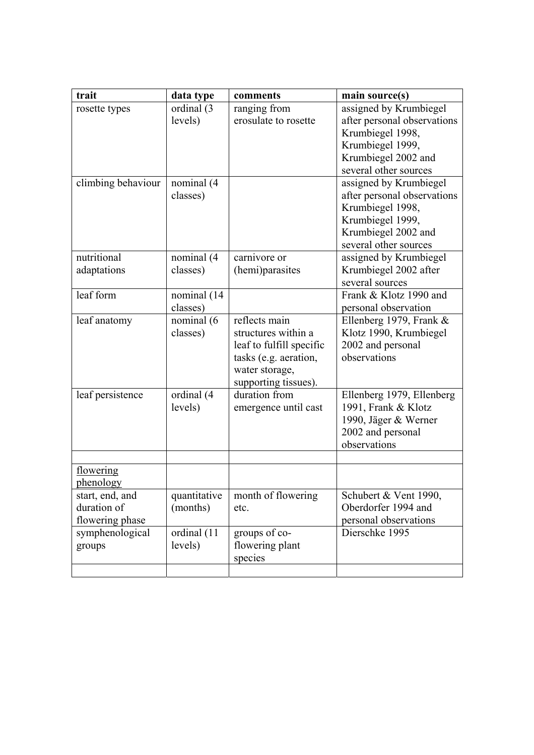| trait                                             | data type                | comments                                                                                                                            | main source(s)                                                                                                                                |
|---------------------------------------------------|--------------------------|-------------------------------------------------------------------------------------------------------------------------------------|-----------------------------------------------------------------------------------------------------------------------------------------------|
| rosette types                                     | ordinal (3<br>levels)    | ranging from<br>erosulate to rosette                                                                                                | assigned by Krumbiegel<br>after personal observations<br>Krumbiegel 1998,<br>Krumbiegel 1999,<br>Krumbiegel 2002 and<br>several other sources |
| climbing behaviour                                | nominal (4<br>classes)   |                                                                                                                                     | assigned by Krumbiegel<br>after personal observations<br>Krumbiegel 1998,<br>Krumbiegel 1999,<br>Krumbiegel 2002 and<br>several other sources |
| nutritional<br>adaptations                        | nominal (4<br>classes)   | carnivore or<br>(hemi)parasites                                                                                                     | assigned by Krumbiegel<br>Krumbiegel 2002 after<br>several sources                                                                            |
| leaf form                                         | nominal (14<br>classes)  |                                                                                                                                     | Frank & Klotz 1990 and<br>personal observation                                                                                                |
| leaf anatomy                                      | nominal (6<br>classes)   | reflects main<br>structures within a<br>leaf to fulfill specific<br>tasks (e.g. aeration,<br>water storage,<br>supporting tissues). | Ellenberg 1979, Frank $&$<br>Klotz 1990, Krumbiegel<br>2002 and personal<br>observations                                                      |
| leaf persistence                                  | ordinal (4<br>levels)    | duration from<br>emergence until cast                                                                                               | Ellenberg 1979, Ellenberg<br>1991, Frank & Klotz<br>1990, Jäger & Werner<br>2002 and personal<br>observations                                 |
| flowering<br>phenology                            |                          |                                                                                                                                     |                                                                                                                                               |
| start, end, and<br>duration of<br>flowering phase | quantitative<br>(months) | month of flowering<br>etc.                                                                                                          | Schubert & Vent 1990,<br>Oberdorfer 1994 and<br>personal observations                                                                         |
| symphenological<br>groups                         | ordinal (11<br>levels)   | groups of co-<br>flowering plant<br>species                                                                                         | Dierschke 1995                                                                                                                                |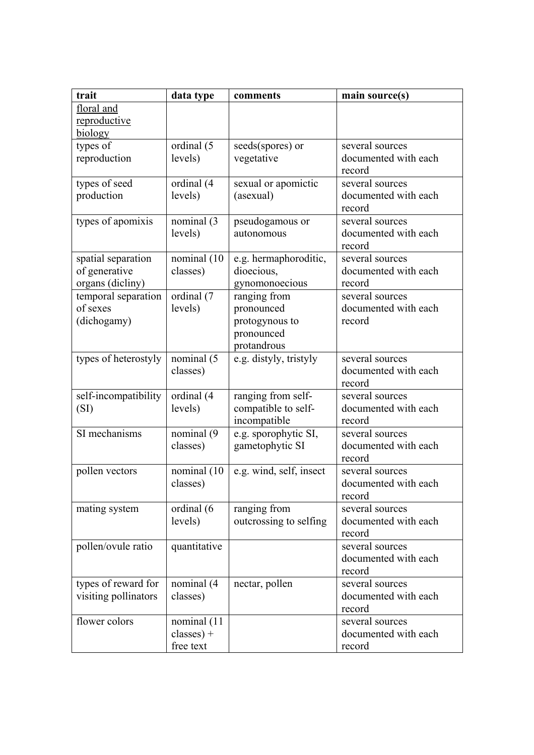| trait                | data type    | comments                            | main source(s)                          |
|----------------------|--------------|-------------------------------------|-----------------------------------------|
| floral and           |              |                                     |                                         |
| reproductive         |              |                                     |                                         |
| biology              |              |                                     |                                         |
| types of             | ordinal (5   | seeds(spores) or                    | several sources                         |
| reproduction         | levels)      | vegetative                          | documented with each                    |
|                      |              |                                     | record                                  |
| types of seed        | ordinal (4   | sexual or apomictic                 | several sources                         |
| production           | levels)      | (asexual)                           | documented with each                    |
|                      |              |                                     | record                                  |
| types of apomixis    | nominal (3   | pseudogamous or                     | several sources                         |
|                      | levels)      | autonomous                          | documented with each                    |
|                      |              |                                     | record                                  |
| spatial separation   | nominal (10  | e.g. hermaphoroditic,               | several sources                         |
| of generative        | classes)     | dioecious,                          | documented with each                    |
| organs (dicliny)     |              | gynomonoecious                      | record                                  |
| temporal separation  | ordinal (7   | ranging from                        | several sources                         |
| of sexes             | levels)      | pronounced                          | documented with each                    |
| (dichogamy)          |              | protogynous to                      | record                                  |
|                      |              | pronounced                          |                                         |
|                      |              | protandrous                         |                                         |
| types of heterostyly | nominal (5   | e.g. distyly, tristyly              | several sources                         |
|                      | classes)     |                                     | documented with each                    |
|                      |              |                                     | record                                  |
| self-incompatibility | ordinal (4   | ranging from self-                  | several sources<br>documented with each |
| (SI)                 | levels)      | compatible to self-<br>incompatible | record                                  |
| SI mechanisms        | nominal (9   | e.g. sporophytic SI,                | several sources                         |
|                      | classes)     | gametophytic SI                     | documented with each                    |
|                      |              |                                     | record                                  |
| pollen vectors       | nominal (10  | e.g. wind, self, insect             | several sources                         |
|                      | classes)     |                                     | documented with each                    |
|                      |              |                                     | record                                  |
| mating system        | ordinal (6   | ranging from                        | several sources                         |
|                      | levels)      | outcrossing to selfing              | documented with each                    |
|                      |              |                                     | record                                  |
| pollen/ovule ratio   | quantitative |                                     | several sources                         |
|                      |              |                                     | documented with each                    |
|                      |              |                                     | record                                  |
| types of reward for  | nominal (4   | nectar, pollen                      | several sources                         |
| visiting pollinators | classes)     |                                     | documented with each                    |
|                      |              |                                     | record                                  |
| flower colors        | nominal (11  |                                     | several sources                         |
|                      | $classes) +$ |                                     | documented with each                    |
|                      | free text    |                                     | record                                  |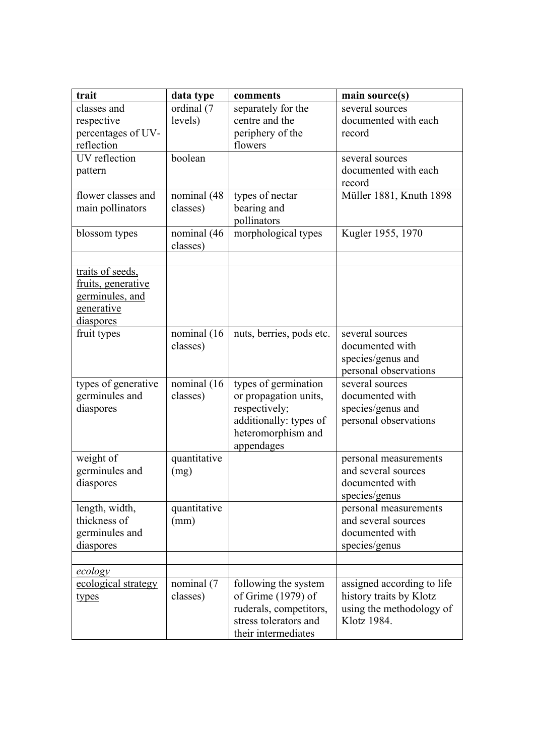| trait                       | data type               | comments                                   | main source(s)                                        |
|-----------------------------|-------------------------|--------------------------------------------|-------------------------------------------------------|
| classes and                 | ordinal (7              | separately for the                         | several sources                                       |
| respective                  | levels)                 | centre and the                             | documented with each                                  |
| percentages of UV-          |                         | periphery of the                           | record                                                |
| reflection<br>UV reflection |                         | flowers                                    |                                                       |
|                             | boolean                 |                                            | several sources<br>documented with each               |
| pattern                     |                         |                                            | record                                                |
| flower classes and          | nominal (48             | types of nectar                            | Müller 1881, Knuth 1898                               |
| main pollinators            | classes)                | bearing and                                |                                                       |
|                             |                         | pollinators                                |                                                       |
| blossom types               | nominal (46<br>classes) | morphological types                        | Kugler 1955, 1970                                     |
|                             |                         |                                            |                                                       |
| traits of seeds,            |                         |                                            |                                                       |
| fruits, generative          |                         |                                            |                                                       |
| germinules, and             |                         |                                            |                                                       |
| <u>generative</u>           |                         |                                            |                                                       |
| diaspores                   |                         |                                            |                                                       |
| fruit types                 | nominal (16             | nuts, berries, pods etc.                   | several sources                                       |
|                             | classes)                |                                            | documented with<br>species/genus and                  |
|                             |                         |                                            | personal observations                                 |
| types of generative         | nominal (16             | types of germination                       | several sources                                       |
| germinules and              | classes)                | or propagation units,                      | documented with                                       |
| diaspores                   |                         | respectively;                              | species/genus and                                     |
|                             |                         | additionally: types of                     | personal observations                                 |
|                             |                         | heteromorphism and                         |                                                       |
|                             |                         | appendages                                 |                                                       |
| weight of                   | quantitative            |                                            | personal measurements                                 |
| germinules and<br>diaspores | (mg)                    |                                            | and several sources<br>documented with                |
|                             |                         |                                            | species/genus                                         |
| length, width,              | quantitative            |                                            | personal measurements                                 |
| thickness of                | (mm)                    |                                            | and several sources                                   |
| germinules and              |                         |                                            | documented with                                       |
| diaspores                   |                         |                                            | species/genus                                         |
|                             |                         |                                            |                                                       |
| <u>ecology</u>              |                         |                                            |                                                       |
| ecological strategy         | nominal (7<br>classes)  | following the system<br>of Grime (1979) of | assigned according to life<br>history traits by Klotz |
| types                       |                         | ruderals, competitors,                     | using the methodology of                              |
|                             |                         | stress tolerators and                      | Klotz 1984.                                           |
|                             |                         | their intermediates                        |                                                       |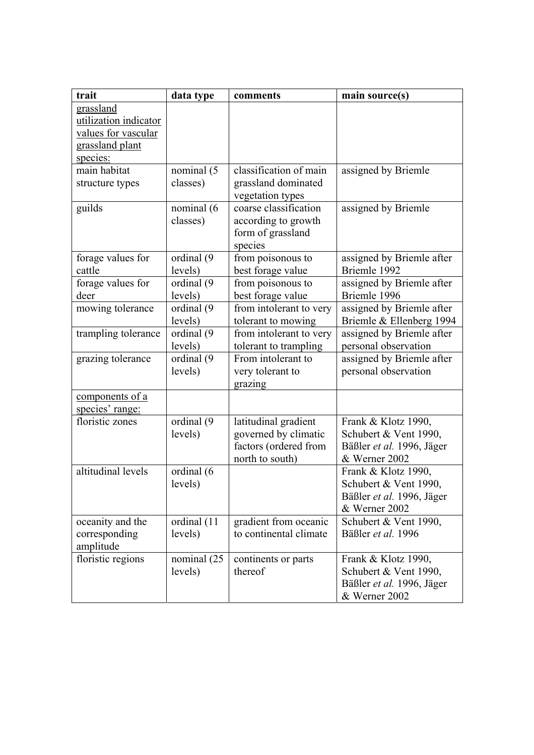| trait                 | data type   | comments                | main source(s)            |
|-----------------------|-------------|-------------------------|---------------------------|
| grassland             |             |                         |                           |
| utilization indicator |             |                         |                           |
| values for vascular   |             |                         |                           |
| grassland plant       |             |                         |                           |
| species:              |             |                         |                           |
| main habitat          | nominal (5  | classification of main  | assigned by Briemle       |
| structure types       | classes)    | grassland dominated     |                           |
|                       |             | vegetation types        |                           |
| guilds                | nominal (6  | coarse classification   | assigned by Briemle       |
|                       | classes)    | according to growth     |                           |
|                       |             | form of grassland       |                           |
|                       |             | species                 |                           |
| forage values for     | ordinal (9  | from poisonous to       | assigned by Briemle after |
| cattle                | levels)     | best forage value       | Briemle 1992              |
| forage values for     | ordinal (9  | from poisonous to       | assigned by Briemle after |
| deer                  | levels)     | best forage value       | Briemle 1996              |
| mowing tolerance      | ordinal (9  | from intolerant to very | assigned by Briemle after |
|                       | levels)     | tolerant to mowing      | Briemle & Ellenberg 1994  |
| trampling tolerance   | ordinal (9  | from intolerant to very | assigned by Briemle after |
|                       | levels)     | tolerant to trampling   | personal observation      |
| grazing tolerance     | ordinal (9  | From intolerant to      | assigned by Briemle after |
|                       | levels)     | very tolerant to        | personal observation      |
|                       |             | grazing                 |                           |
| components of a       |             |                         |                           |
| species' range:       |             |                         |                           |
| floristic zones       | ordinal (9  | latitudinal gradient    | Frank & Klotz 1990,       |
|                       | levels)     | governed by climatic    | Schubert & Vent 1990,     |
|                       |             | factors (ordered from   | Bäßler et al. 1996, Jäger |
|                       |             | north to south)         | & Werner 2002             |
| altitudinal levels    | ordinal (6  |                         | Frank & Klotz 1990,       |
|                       | levels)     |                         | Schubert & Vent 1990,     |
|                       |             |                         | Bäßler et al. 1996, Jäger |
|                       |             |                         | & Werner 2002             |
| oceanity and the      | ordinal (11 | gradient from oceanic   | Schubert & Vent 1990,     |
| corresponding         | levels)     | to continental climate  | Bäßler et al. 1996        |
| amplitude             |             |                         |                           |
| floristic regions     | nominal (25 | continents or parts     | Frank & Klotz 1990,       |
|                       | levels)     | thereof                 | Schubert & Vent 1990,     |
|                       |             |                         | Bäßler et al. 1996, Jäger |
|                       |             |                         | & Werner 2002             |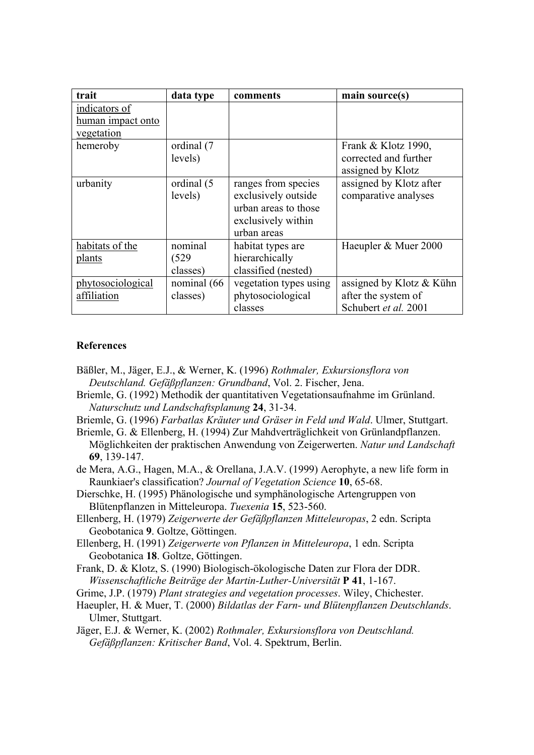| trait             | data type   | comments               | main source(s)             |
|-------------------|-------------|------------------------|----------------------------|
| indicators of     |             |                        |                            |
| human impact onto |             |                        |                            |
| vegetation        |             |                        |                            |
| hemeroby          | ordinal (7  |                        | Frank & Klotz 1990,        |
|                   | levels)     |                        | corrected and further      |
|                   |             |                        | assigned by Klotz          |
| urbanity          | ordinal (5  | ranges from species    | assigned by Klotz after    |
|                   | levels)     | exclusively outside    | comparative analyses       |
|                   |             | urban areas to those   |                            |
|                   |             | exclusively within     |                            |
|                   |             | urban areas            |                            |
| habitats of the   | nominal     | habitat types are      | Haeupler & Muer 2000       |
| plants            | (529)       | hierarchically         |                            |
|                   | classes)    | classified (nested)    |                            |
| phytosociological | nominal (66 | vegetation types using | assigned by Klotz $&$ Kühn |
| affiliation       | classes)    | phytosociological      | after the system of        |
|                   |             | classes                | Schubert et al. 2001       |

## **References**

- Bäßler, M., Jäger, E.J., & Werner, K. (1996) *Rothmaler, Exkursionsflora von Deutschland. Gefäßpflanzen: Grundband*, Vol. 2. Fischer, Jena.
- Briemle, G. (1992) Methodik der quantitativen Vegetationsaufnahme im Grünland. *Naturschutz und Landschaftsplanung* **24**, 31-34.
- Briemle, G. (1996) *Farbatlas Kräuter und Gräser in Feld und Wald*. Ulmer, Stuttgart.
- Briemle, G. & Ellenberg, H. (1994) Zur Mahdverträglichkeit von Grünlandpflanzen. Möglichkeiten der praktischen Anwendung von Zeigerwerten. *Natur und Landschaft* **69**, 139-147.
- de Mera, A.G., Hagen, M.A., & Orellana, J.A.V. (1999) Aerophyte, a new life form in Raunkiaer's classification? *Journal of Vegetation Science* **10**, 65-68.
- Dierschke, H. (1995) Phänologische und symphänologische Artengruppen von Blütenpflanzen in Mitteleuropa. *Tuexenia* **15**, 523-560.
- Ellenberg, H. (1979) *Zeigerwerte der Gefäßpflanzen Mitteleuropas*, 2 edn. Scripta Geobotanica **9**. Goltze, Göttingen.
- Ellenberg, H. (1991) *Zeigerwerte von Pflanzen in Mitteleuropa*, 1 edn. Scripta Geobotanica **18**. Goltze, Göttingen.
- Frank, D. & Klotz, S. (1990) Biologisch-ökologische Daten zur Flora der DDR. *Wissenschaftliche Beiträge der Martin-Luther-Universität* **P 41**, 1-167.
- Grime, J.P. (1979) *Plant strategies and vegetation processes*. Wiley, Chichester.
- Haeupler, H. & Muer, T. (2000) *Bildatlas der Farn- und Blütenpflanzen Deutschlands*. Ulmer, Stuttgart.
- Jäger, E.J. & Werner, K. (2002) *Rothmaler, Exkursionsflora von Deutschland. Gefäßpflanzen: Kritischer Band*, Vol. 4. Spektrum, Berlin.